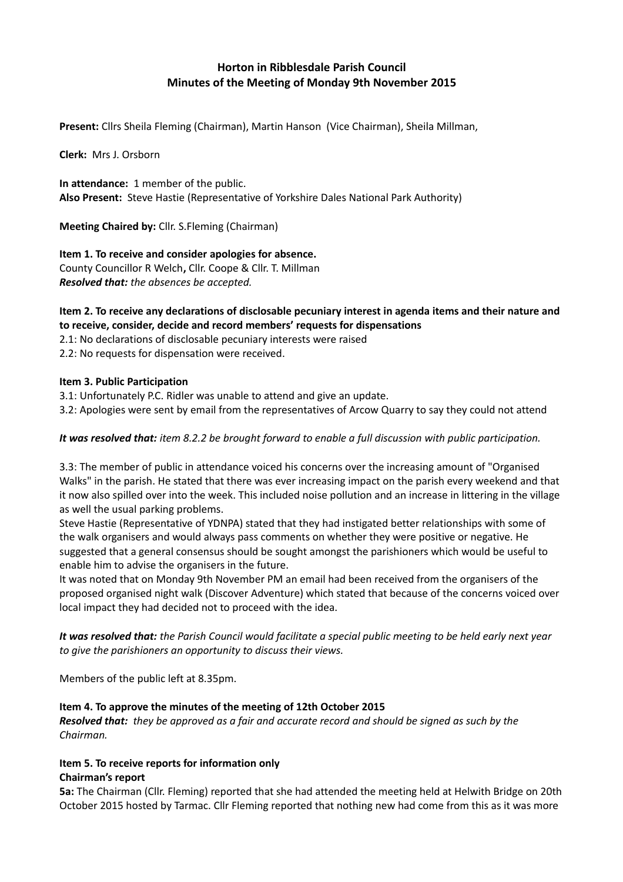# **Horton in Ribblesdale Parish Council Minutes of the Meeting of Monday 9th November 2015**

**Present:** Cllrs Sheila Fleming (Chairman), Martin Hanson (Vice Chairman), Sheila Millman,

**Clerk:** Mrs J. Orsborn

**In attendance:** 1 member of the public. **Also Present:** Steve Hastie (Representative of Yorkshire Dales National Park Authority)

**Meeting Chaired by:** Cllr. S.Fleming (Chairman)

# **Item 1. To receive and consider apologies for absence.**

County Councillor R Welch**,** Cllr. Coope & Cllr. T. Millman *Resolved that: the absences be accepted.*

### **Item 2. To receive any declarations of disclosable pecuniary interest in agenda items and their nature and to receive, consider, decide and record members' requests for dispensations**

2.1: No declarations of disclosable pecuniary interests were raised

2.2: No requests for dispensation were received.

# **Item 3. Public Participation**

3.1: Unfortunately P.C. Ridler was unable to attend and give an update. 3.2: Apologies were sent by email from the representatives of Arcow Quarry to say they could not attend

# *It was resolved that: item 8.2.2 be brought forward to enable a full discussion with public participation.*

3.3: The member of public in attendance voiced his concerns over the increasing amount of "Organised Walks" in the parish. He stated that there was ever increasing impact on the parish every weekend and that it now also spilled over into the week. This included noise pollution and an increase in littering in the village as well the usual parking problems.

Steve Hastie (Representative of YDNPA) stated that they had instigated better relationships with some of the walk organisers and would always pass comments on whether they were positive or negative. He suggested that a general consensus should be sought amongst the parishioners which would be useful to enable him to advise the organisers in the future.

It was noted that on Monday 9th November PM an email had been received from the organisers of the proposed organised night walk (Discover Adventure) which stated that because of the concerns voiced over local impact they had decided not to proceed with the idea.

*It was resolved that: the Parish Council would facilitate a special public meeting to be held early next year to give the parishioners an opportunity to discuss their views.* 

Members of the public left at 8.35pm.

#### **Item 4. To approve the minutes of the meeting of 12th October 2015**

*Resolved that: they be approved as a fair and accurate record and should be signed as such by the Chairman.*

#### **Item 5. To receive reports for information only Chairman's report**

**5a:** The Chairman (Cllr. Fleming) reported that she had attended the meeting held at Helwith Bridge on 20th October 2015 hosted by Tarmac. Cllr Fleming reported that nothing new had come from this as it was more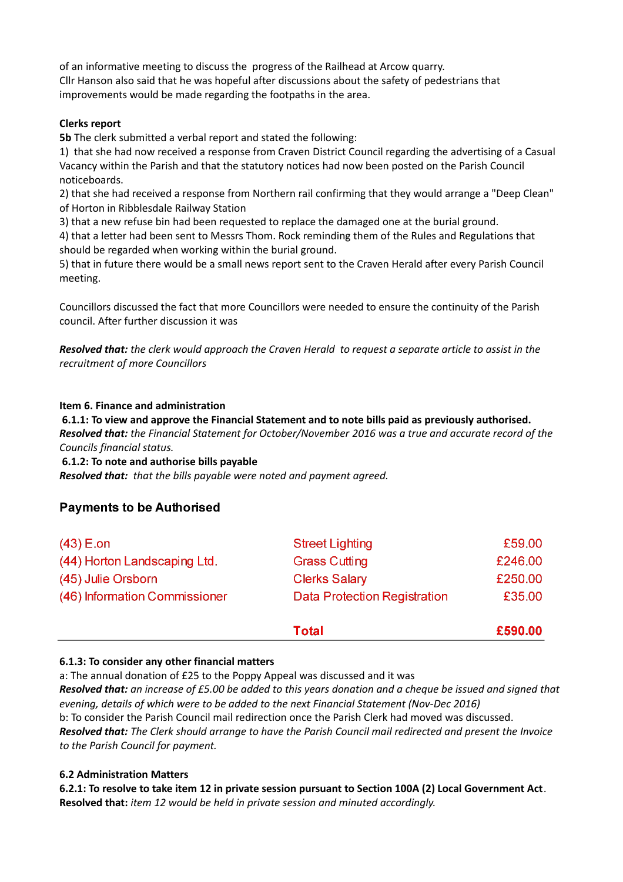of an informative meeting to discuss the progress of the Railhead at Arcow quarry. Cllr Hanson also said that he was hopeful after discussions about the safety of pedestrians that improvements would be made regarding the footpaths in the area.

# **Clerks report**

**5b** The clerk submitted a verbal report and stated the following:

1) that she had now received a response from Craven District Council regarding the advertising of a Casual Vacancy within the Parish and that the statutory notices had now been posted on the Parish Council noticeboards.

2) that she had received a response from Northern rail confirming that they would arrange a "Deep Clean" of Horton in Ribblesdale Railway Station

3) that a new refuse bin had been requested to replace the damaged one at the burial ground.

4) that a letter had been sent to Messrs Thom. Rock reminding them of the Rules and Regulations that should be regarded when working within the burial ground.

5) that in future there would be a small news report sent to the Craven Herald after every Parish Council meeting.

Councillors discussed the fact that more Councillors were needed to ensure the continuity of the Parish council. After further discussion it was

*Resolved that: the clerk would approach the Craven Herald to request a separate article to assist in the recruitment of more Councillors*

**Item 6. Finance and administration**

 **6.1.1: To view and approve the Financial Statement and to note bills paid as previously authorised.** *Resolved that: the Financial Statement for October/November 2016 was a true and accurate record of the Councils financial status.*

**6.1.2: To note and authorise bills payable**

*Resolved that: that the bills payable were noted and payment agreed.*

# **Payments to be Authorised**

|                               | <b>Total</b>                        | £590.00 |
|-------------------------------|-------------------------------------|---------|
| (46) Information Commissioner | <b>Data Protection Registration</b> | £35.00  |
| (45) Julie Orsborn            | <b>Clerks Salary</b>                | £250.00 |
| (44) Horton Landscaping Ltd.  | <b>Grass Cutting</b>                | £246.00 |
| $(43)$ E.on                   | <b>Street Lighting</b>              | £59.00  |

#### **6.1.3: To consider any other financial matters**

a: The annual donation of £25 to the Poppy Appeal was discussed and it was *Resolved that: an increase of £5.00 be added to this years donation and a cheque be issued and signed that evening, details of which were to be added to the next Financial Statement (Nov-Dec 2016)* b: To consider the Parish Council mail redirection once the Parish Clerk had moved was discussed. *Resolved that: The Clerk should arrange to have the Parish Council mail redirected and present the Invoice to the Parish Council for payment.*

#### **6.2 Administration Matters**

**6.2.1: To resolve to take item 12 in private session pursuant to Section 100A (2) Local Government Act**. **Resolved that:** *item 12 would be held in private session and minuted accordingly.*